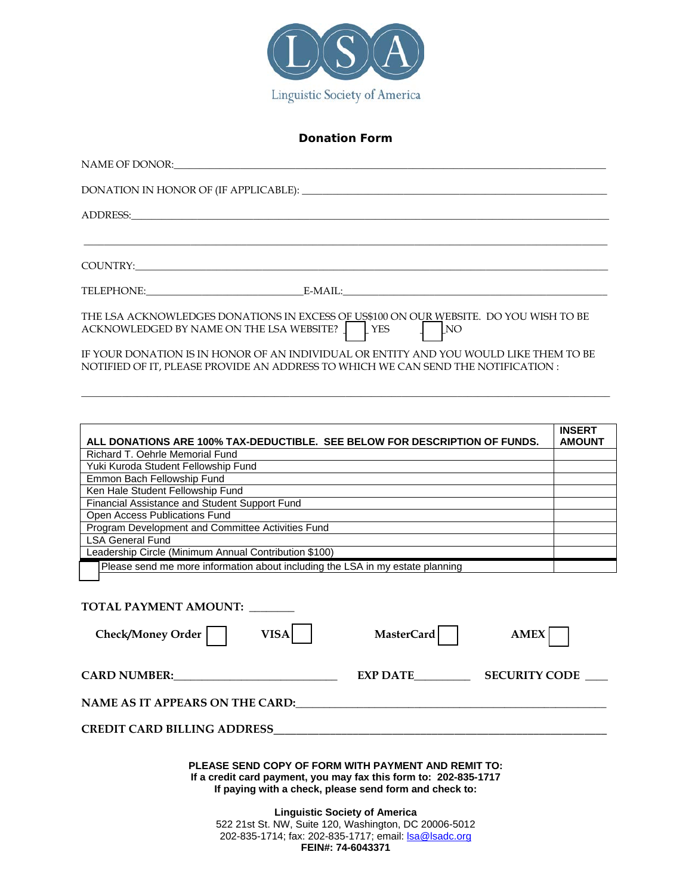

# **Donation Form**

| NAME OF DONOR: WE ARREST A STATE OF DONOR.                                                                                                                                                                                     |
|--------------------------------------------------------------------------------------------------------------------------------------------------------------------------------------------------------------------------------|
|                                                                                                                                                                                                                                |
| ADDRESS: New York Contract the Contract of the Contract of the Contract of the Contract of the Contract of the Contract of the Contract of the Contract of the Contract of the Contract of the Contract of the Contract of the |
|                                                                                                                                                                                                                                |
|                                                                                                                                                                                                                                |
| TELEPHONE: E-MAIL:                                                                                                                                                                                                             |
| THE LSA ACKNOWLEDGES DONATIONS IN EXCESS OF US\$100 ON OUR WEBSITE. DO YOU WISH TO BE<br>ACKNOWLEDGED BY NAME ON THE LSA WEBSITE? THESE<br>$\overline{\phantom{a}}$ NO                                                         |
| IF YOUR DONATION IS IN HONOR OF AN INDIVIDUAL OR ENTITY AND YOU WOULD LIKE THEM TO BE<br>NOTIFIED OF IT. PLEASE PROVIDE AN ADDRESS TO WHICH WE CAN SEND THE NOTIFICATION :                                                     |

 $\_$  , and the set of the set of the set of the set of the set of the set of the set of the set of the set of the set of the set of the set of the set of the set of the set of the set of the set of the set of the set of th

| ALL DONATIONS ARE 100% TAX-DEDUCTIBLE. SEE BELOW FOR DESCRIPTION OF FUNDS.                                                                                                                                                           | <b>INSERT</b><br><b>AMOUNT</b> |
|--------------------------------------------------------------------------------------------------------------------------------------------------------------------------------------------------------------------------------------|--------------------------------|
| Richard T. Oehrle Memorial Fund                                                                                                                                                                                                      |                                |
| Yuki Kuroda Student Fellowship Fund                                                                                                                                                                                                  |                                |
| Emmon Bach Fellowship Fund                                                                                                                                                                                                           |                                |
| Ken Hale Student Fellowship Fund                                                                                                                                                                                                     |                                |
| Financial Assistance and Student Support Fund                                                                                                                                                                                        |                                |
| Open Access Publications Fund                                                                                                                                                                                                        |                                |
| Program Development and Committee Activities Fund                                                                                                                                                                                    |                                |
| <b>LSA General Fund</b>                                                                                                                                                                                                              |                                |
| Leadership Circle (Minimum Annual Contribution \$100)                                                                                                                                                                                |                                |
| Please send me more information about including the LSA in my estate planning                                                                                                                                                        |                                |
|                                                                                                                                                                                                                                      |                                |
|                                                                                                                                                                                                                                      |                                |
| TOTAL PAYMENT AMOUNT:                                                                                                                                                                                                                |                                |
|                                                                                                                                                                                                                                      |                                |
| <b>VISA</b><br>Check/Money Order  <br>MasterCard<br><b>AMEX</b>                                                                                                                                                                      |                                |
|                                                                                                                                                                                                                                      |                                |
| CARD NUMBER: VALUE AND NUMBER:<br>EXP DATE<br><b>SECURITY CODE</b>                                                                                                                                                                   |                                |
|                                                                                                                                                                                                                                      |                                |
| NAME AS IT APPEARS ON THE CARD:                                                                                                                                                                                                      |                                |
| <b>CREDIT CARD BILLING ADDRESS AND RESIDENCE ASSESSED FOR A STATE OF STATE OF STATE OF STATE OF STATE OF STATE OF STATE OF STATE OF STATE OF STATE OF STATE OF STATE OF STATE OF STATE OF STATE OF STATE OF STATE OF STATE OF ST</b> |                                |
|                                                                                                                                                                                                                                      |                                |
| PLEASE SEND COPY OF FORM WITH PAYMENT AND REMIT TO:<br>If a credit card payment, you may fax this form to: 202-835-1717<br>If paying with a check, please send form and check to:                                                    |                                |
| <b>Linguistic Society of America</b><br>522 21st St. NW, Suite 120, Washington, DC 20006-5012<br>202-835-1714; fax: 202-835-1717; email: Isa@Isadc.org<br>FEIN#: 74-6043371                                                          |                                |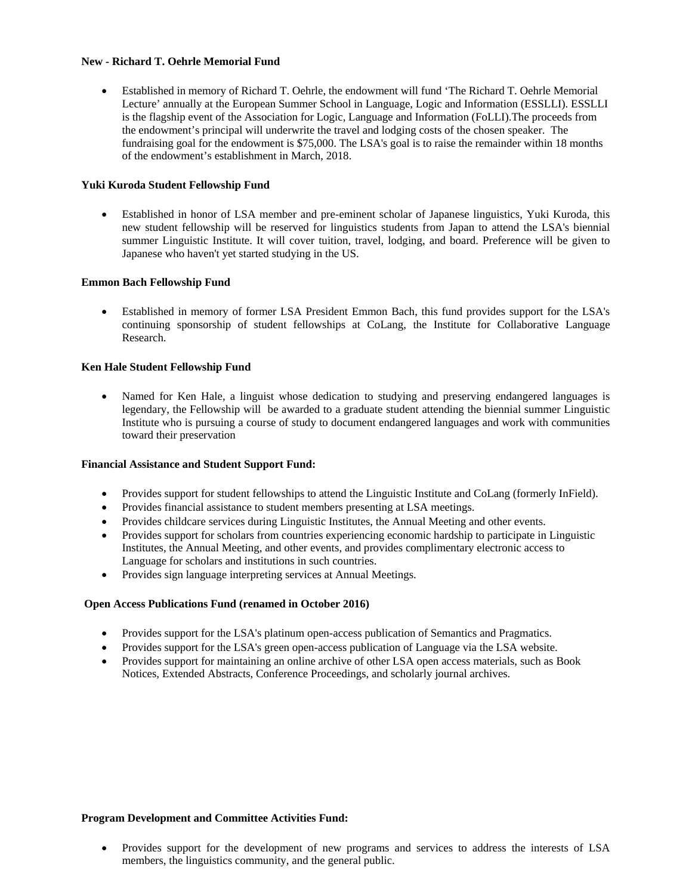## **New - Richard T. Oehrle Memorial Fund**

• Established in memory of Richard T. Oehrle, the endowment will fund 'The Richard T. Oehrle Memorial Lecture' annually at the European Summer School in Language, Logic and Information (ESSLLI). ESSLLI is the flagship event of the Association for Logic, Language and Information (FoLLI).The proceeds from the endowment's principal will underwrite the travel and lodging costs of the chosen speaker. The fundraising goal for the endowment is \$75,000. The LSA's goal is to raise the remainder within 18 months of the endowment's establishment in March, 2018.

## **Yuki Kuroda Student Fellowship Fund**

• Established in honor of LSA member and pre-eminent scholar of Japanese linguistics, Yuki Kuroda, this new student fellowship will be reserved for linguistics students from Japan to attend the LSA's biennial summer Linguistic Institute. It will cover tuition, travel, lodging, and board. Preference will be given to Japanese who haven't yet started studying in the US.

## **Emmon Bach Fellowship Fund**

• Established in memory of former LSA President Emmon Bach, this fund provides support for the LSA's continuing sponsorship of student fellowships at CoLang, the Institute for Collaborative Language Research.

## **Ken Hale Student Fellowship Fund**

Named for Ken Hale, a linguist whose dedication to studying and preserving endangered languages is legendary, the Fellowship will be awarded to a graduate student attending the biennial summer Linguistic Institute who is pursuing a course of study to document endangered languages and work with communities toward their preservation

#### **Financial Assistance and Student Support Fund:**

- Provides support for student fellowships to attend the Linguistic Institute and CoLang (formerly InField).
- Provides financial assistance to student members presenting at LSA meetings.
- Provides childcare services during Linguistic Institutes, the Annual Meeting and other events.
- Provides support for scholars from countries experiencing economic hardship to participate in Linguistic Institutes, the Annual Meeting, and other events, and provides complimentary electronic access to Language for scholars and institutions in such countries.
- Provides sign language interpreting services at Annual Meetings.

## **Open Access Publications Fund (renamed in October 2016)**

- Provides support for the LSA's platinum open-access publication of Semantics and Pragmatics.
- Provides support for the LSA's green open-access publication of Language via the LSA website.
- Provides support for maintaining an online archive of other LSA open access materials, such as Book Notices, Extended Abstracts, Conference Proceedings, and scholarly journal archives.

#### **Program Development and Committee Activities Fund:**

• Provides support for the development of new programs and services to address the interests of LSA members, the linguistics community, and the general public.